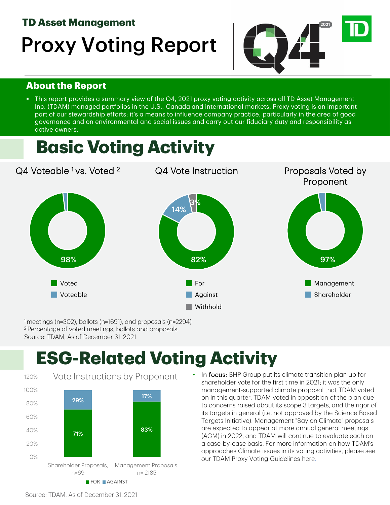#### **TD Asset Management**

# Proxy Voting Report



#### **About the Report**

 This report provides a summary view of the Q4, 2021 proxy voting activity across all TD Asset Management Inc. (TDAM) managed portfolios in the U.S., Canada and international markets. Proxy voting is an important part of our stewardship efforts; it's a means to influence company practice, particularly in the area of good governance and on environmental and social issues and carry out our fiduciary duty and responsibility as active owners.

# **Basic Voting Activity**



1 meetings (n=302), ballots (n=1691), and proposals (n=2294) 2 Percentage of voted meetings, ballots and proposals Source: TDAM, As of December 31, 2021

# **ESG-Related Voting Activity**



In focus: BHP Group put its climate transition plan up for shareholder vote for the first time in 2021; it was the only management-supported climate proposal that TDAM voted on in this quarter. TDAM voted in opposition of the plan due to concerns raised about its scope 3 targets, and the rigor of its targets in general (i.e. not approved by the Science Based Targets Initiative). Management "Say on Climate" proposals are expected to appear at more annual general meetings (AGM) in 2022, and TDAM will continue to evaluate each on a case-by-case basis. For more information on how TDAM's approaches Climate issues in its voting activities, please see our TDAM Proxy Voting Guidelines [here.](https://www.td.com/ca/en/asset-management/documents/investor/PDF/TDAM-Proxy-Voting-Guideline-EN.pdf)

Source: TDAM, As of December 31, 2021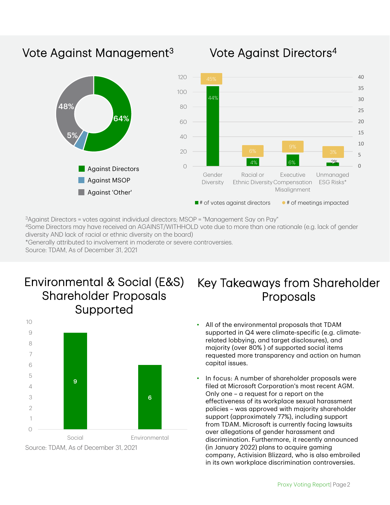# Vote Against Management<sup>3</sup>



### Vote Against Directors4

3Against Directors = votes against individual directors; MSOP = "Management Say on Pay"

4Some Directors may have received an AGAINST/WITHHOLD vote due to more than one rationale (e.g. lack of gender diversity AND lack of racial or ethnic diversity on the board)

\*Generally attributed to involvement in moderate or severe controversies.

Source: TDAM, As of December 31, 2021

## Environmental & Social (E&S) Shareholder Proposals Supported



# Key Takeaways from Shareholder Proposals

- All of the environmental proposals that TDAM supported in Q4 were climate-specific (e.g. climaterelated lobbying, and target disclosures), and majority (over 80% ) of supported social items requested more transparency and action on human capital issues.
- In focus: A number of shareholder proposals were filed at Microsoft Corporation's most recent AGM. Only one – a request for a report on the effectiveness of its workplace sexual harassment policies – was approved with majority shareholder support (approximately 77%), including support from TDAM. Microsoft is currently facing lawsuits over allegations of gender harassment and discrimination. Furthermore, it recently announced (in January 2022) plans to acquire gaming company, Activision Blizzard, who is also embroiled in its own workplace discrimination controversies.